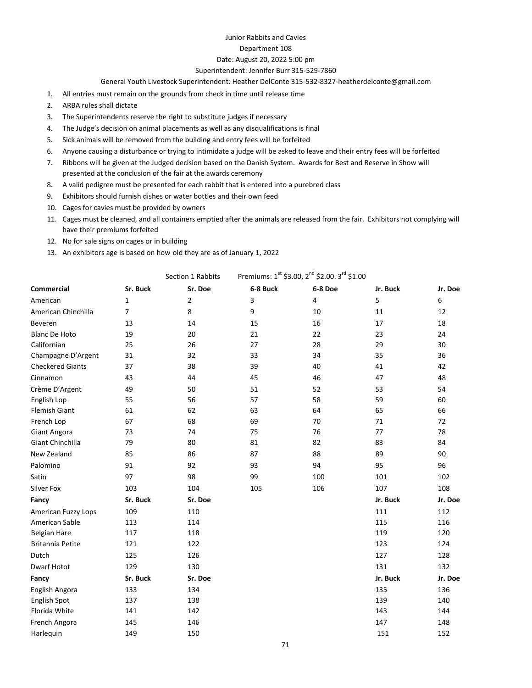# Junior Rabbits and Cavies

### Department 108

## Date: August 20, 2022 5:00 pm

### Superintendent: Jennifer Burr 315-529-7860

#### General Youth Livestock Superintendent: Heather DelConte 315-532-8327-heatherdelconte@gmail.com

- 1. All entries must remain on the grounds from check in time until release time
- 2. ARBA rules shall dictate
- 3. The Superintendents reserve the right to substitute judges if necessary
- 4. The Judge's decision on animal placements as well as any disqualifications is final
- 5. Sick animals will be removed from the building and entry fees will be forfeited
- 6. Anyone causing a disturbance or trying to intimidate a judge will be asked to leave and their entry fees will be forfeited
- 7. Ribbons will be given at the Judged decision based on the Danish System. Awards for Best and Reserve in Show will presented at the conclusion of the fair at the awards ceremony
- 8. A valid pedigree must be presented for each rabbit that is entered into a purebred class
- 9. Exhibitors should furnish dishes or water bottles and their own feed
- 10. Cages for cavies must be provided by owners
- 11. Cages must be cleaned, and all containers emptied after the animals are released from the fair. Exhibitors not complying will have their premiums forfeited
- 12. No for sale signs on cages or in building
- 13. An exhibitors age is based on how old they are as of January 1, 2022

|                         | Premiums: 1st \$3.00, 2 <sup>nd</sup> \$2.00. 3 <sup>rd</sup> \$1.00<br>Section 1 Rabbits |                |          |         |          |         |  |
|-------------------------|-------------------------------------------------------------------------------------------|----------------|----------|---------|----------|---------|--|
| <b>Commercial</b>       | Sr. Buck                                                                                  | Sr. Doe        | 6-8 Buck | 6-8 Doe | Jr. Buck | Jr. Doe |  |
| American                | $\mathbf{1}$                                                                              | $\overline{2}$ | 3        | 4       | 5        | 6       |  |
| American Chinchilla     | $\overline{7}$                                                                            | 8              | 9        | 10      | 11       | 12      |  |
| Beveren                 | 13                                                                                        | 14             | 15       | 16      | 17       | 18      |  |
| <b>Blanc De Hoto</b>    | 19                                                                                        | 20             | 21       | 22      | 23       | 24      |  |
| Californian             | 25                                                                                        | 26             | 27       | 28      | 29       | 30      |  |
| Champagne D'Argent      | 31                                                                                        | 32             | 33       | 34      | 35       | 36      |  |
| <b>Checkered Giants</b> | 37                                                                                        | 38             | 39       | 40      | 41       | 42      |  |
| Cinnamon                | 43                                                                                        | 44             | 45       | 46      | 47       | 48      |  |
| Crème D'Argent          | 49                                                                                        | 50             | 51       | 52      | 53       | 54      |  |
| English Lop             | 55                                                                                        | 56             | 57       | 58      | 59       | 60      |  |
| <b>Flemish Giant</b>    | 61                                                                                        | 62             | 63       | 64      | 65       | 66      |  |
| French Lop              | 67                                                                                        | 68             | 69       | 70      | 71       | 72      |  |
| <b>Giant Angora</b>     | 73                                                                                        | 74             | 75       | 76      | 77       | 78      |  |
| <b>Giant Chinchilla</b> | 79                                                                                        | 80             | 81       | 82      | 83       | 84      |  |
| New Zealand             | 85                                                                                        | 86             | 87       | 88      | 89       | 90      |  |
| Palomino                | 91                                                                                        | 92             | 93       | 94      | 95       | 96      |  |
| Satin                   | 97                                                                                        | 98             | 99       | 100     | 101      | 102     |  |
| Silver Fox              | 103                                                                                       | 104            | 105      | 106     | 107      | 108     |  |
| Fancy                   | Sr. Buck                                                                                  | Sr. Doe        |          |         | Jr. Buck | Jr. Doe |  |
| American Fuzzy Lops     | 109                                                                                       | 110            |          |         | 111      | 112     |  |
| American Sable          | 113                                                                                       | 114            |          |         | 115      | 116     |  |
| <b>Belgian Hare</b>     | 117                                                                                       | 118            |          |         | 119      | 120     |  |
| <b>Britannia Petite</b> | 121                                                                                       | 122            |          |         | 123      | 124     |  |
| Dutch                   | 125                                                                                       | 126            |          |         | 127      | 128     |  |
| Dwarf Hotot             | 129                                                                                       | 130            |          |         | 131      | 132     |  |
| Fancy                   | Sr. Buck                                                                                  | Sr. Doe        |          |         | Jr. Buck | Jr. Doe |  |
| English Angora          | 133                                                                                       | 134            |          |         | 135      | 136     |  |
| English Spot            | 137                                                                                       | 138            |          |         | 139      | 140     |  |
| Florida White           | 141                                                                                       | 142            |          |         | 143      | 144     |  |
| French Angora           | 145                                                                                       | 146            |          |         | 147      | 148     |  |
| Harlequin               | 149                                                                                       | 150            |          |         | 151      | 152     |  |
|                         |                                                                                           |                |          |         |          |         |  |